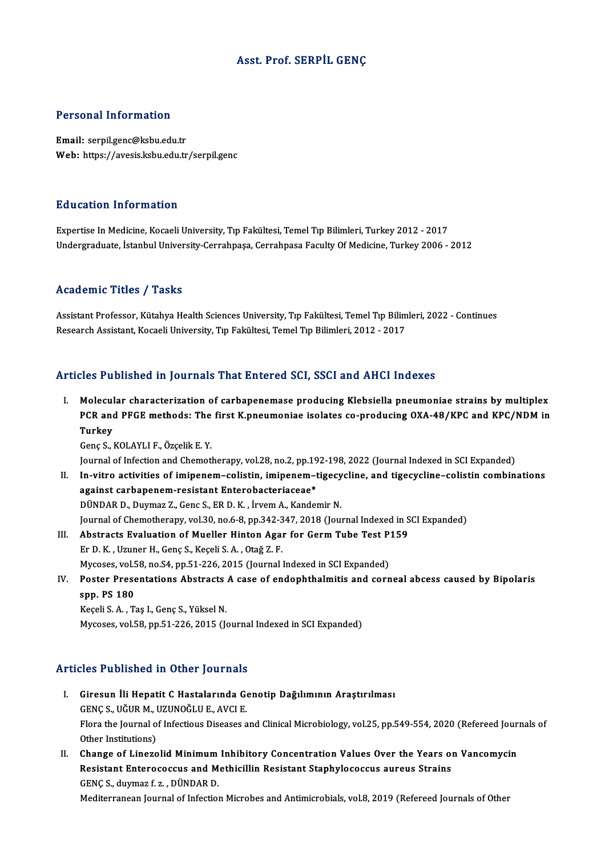### Asst. Prof. SERPİL GENÇ

### Personal Information

Email: serpil.genc@ksbu.edu.tr Web: https://avesis.ksbu.edu.tr/serpil.genc

#### Education Information

Expertise InMedicine,KocaeliUniversity,Tıp Fakültesi,TemelTıpBilimleri,Turkey2012 -2017 Undergraduate, İstanbul University-Cerrahpaşa, Cerrahpasa Faculty Of Medicine, Turkey 2006 - 2012

### Academic Titles / Tasks

Academic Titles / Tasks<br>Assistant Professor, Kütahya Health Sciences University, Tıp Fakültesi, Temel Tıp Bilimleri, 2022 - Continues<br>Researsh Assistant Kesseli University, Tıp Fakültesi, Temel Tıp Bilimleri, 2012, 2017 rredd emre "Frres", "Fashs<br>Assistant Professor, Kütahya Health Sciences University, Tıp Fakültesi, Temel Tıp Bilim<br>Research Assistant, Kocaeli University, Tıp Fakültesi, Temel Tıp Bilimleri, 2012 - 2017

# Research Assistant, Kocaeli University, Tıp Fakültesi, Temel Tıp Bilimleri, 2012 - 2017<br>Articles Published in Journals That Entered SCI, SSCI and AHCI Indexes

I. Molecular characterization of carbapenemase producing Klebsiella pneumoniae strains by multiplex RECT ADMONED IN JOUTHUM THAT BRISTON DOI, SOOT AND THIST INDERIC<br>Molecular characterization of carbapenemase producing Klebsiella pneumoniae strains by multiplex<br>PCR and PFGE methods: The first K.pneumoniae isolates co-pro Molecul<br>PCR and<br>Turkey<br>Cons S PCR and PFGE methods: The<br>Turkey<br>Genç S., KOLAYLI F., Özçelik E. Y.<br>Journal of Infostion and Chamatl Turkey<br>Genç S., KOLAYLI F., Özçelik E. Y.<br>Journal of Infection and Chemotherapy, vol.28, no.2, pp.192-198, 2022 (Journal Indexed in SCI Expanded)

- Genç S., KOLAYLI F., Özçelik E. Y.<br>Journal of Infection and Chemotherapy, vol.28, no.2, pp.192-198, 2022 (Journal Indexed in SCI Expanded)<br>II. In-vitro activities of imipenem–colistin, imipenem–tigecycline, and tigecycline Journal of Infection and Chemotherapy, vol.28, no.2, pp.19<br>In-vitro activities of imipenem-colistin, imipenem-t<br>against carbapenem-resistant Enterobacteriaceae\*<br>PÜNDAR D. Duymar 7, Cons S. ER D. K., invom A. Kando In-vitro activities of imipenem–colistin, imipenem–tigecy<br>against carbapenem-resistant Enterobacteriaceae\*<br>DÜNDAR D., Duymaz Z., Genc S., ER D. K. , İrvem A., Kandemir N.<br>Journal of Chametharanu, val 30, no 6, 8, nn 343, 3 against carbapenem-resistant Enterobacteriaceae\*<br>DÜNDAR D., Duymaz Z., Genc S., ER D. K. , İrvem A., Kandemir N.<br>Journal of Chemotherapy, vol.30, no.6-8, pp.342-347, 2018 (Journal Indexed in SCI Expanded) DÜNDAR D., Duymaz Z., Genc S., ER D. K., İrvem A., Kandemir N.<br>Journal of Chemotherapy, vol.30, no.6-8, pp.342-347, 2018 (Journal Indexed in S<br>III. Abstracts Evaluation of Mueller Hinton Agar for Germ Tube Test P159<br>Fr D.
- Er D. K., Uzuner H., Genç S., Keçeli S. A., Otağ Z. F.<br>Mycoses, vol.58, no.S4, pp.51-226, 2015 (Journal Indexed in SCI Expanded) Abstracts Evaluation of Mueller Hinton Agar for Germ Tube Test P:<br>Er D. K. , Uzuner H., Genç S., Keçeli S. A. , Otağ Z. F.<br>Mycoses, vol.58, no.54, pp.51-226, 2015 (Journal Indexed in SCI Expanded)<br>Poster Presentations Abst Er D. K. , Uzuner H., Genç S., Keçeli S. A. , Otağ Z. F.<br>Mycoses, vol.58, no.54, pp.51-226, 2015 (Journal Indexed in SCI Expanded)<br>IV. Poster Presentations Abstracts A case of endophthalmitis and corneal abcess caused by B
- spp. PS 180<br>Keçeli S. A., Taş I., Genç S., Yüksel N. Poster Presentations Abstracts<br>spp. PS 180<br>Keçeli S. A., Taş I., Genç S., Yüksel N.<br>Mygaasa val 59 nn 51 226 2015 (L

Mycoses, vol.58, pp.51-226, 2015 (Journal Indexed in SCI Expanded)

### Articles Published in Other Journals

- rticles Published in Other Journals<br>I. Giresun İli Hepatit C Hastalarında Genotip Dağılımının Araştırılması<br>CENCS HĞURM HZUNQĞLUF AVÇLE Giresun İli Hepatit C Hastalarında General Sonstantı<br>Giresun İli Hepatit C Hastalarında General Sonstantı<br>Elemente Journal of Infectious Diseases a Flora the Journal of Infectious Diseases and Clinical Microbiology, vol.25, pp.549-554, 2020 (Refereed Journals of Other Institutions) GENC S., UĞUR M., UZUNOĞLU E., AVCI E. Flora the Journal of Infectious Diseases and Clinical Microbiology, vol.25, pp.549-554, 2020 (Refereed Jour<br>Other Institutions)<br>II. Change of Linezolid Minimum Inhibitory Concentration Values Over the Years on Vancomycin<br>R
- Other Institutions)<br>Change of Linezolid Minimum Inhibitory Concentration Values Over the Years of<br>Resistant Enterococcus and Methicillin Resistant Staphylococcus aureus Strains<br>CENCS, duymar f.g., DÜNDAR D Change of Linezolid Minimum<br>Resistant Enterococcus and M<br>GENÇ S., duymaz f. z. , DÜNDAR D.<br>Mediterranean Journal of Infection Resistant Enterococcus and Methicillin Resistant Staphylococcus aureus Strains<br>GENÇ S., duymaz f. z. , DÜNDAR D.<br>Mediterranean Journal of Infection Microbes and Antimicrobials, vol.8, 2019 (Refereed Journals of Other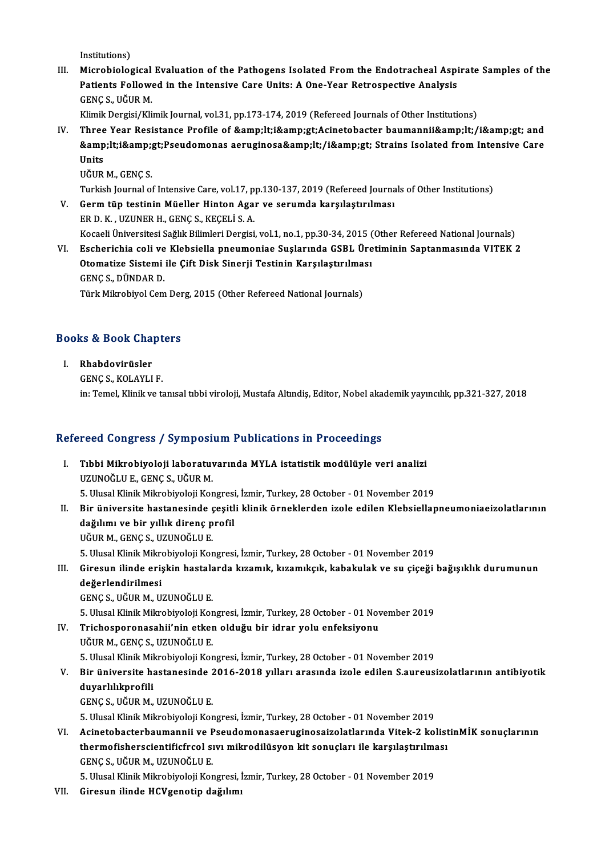Institutions)

Institutions)<br>III. Microbiological Evaluation of the Pathogens Isolated From the Endotracheal Aspirate Samples of the<br>Retients Followed in the Intensive Cane Unite: A One Year Betrespective Anglysis Institutions)<br>Microbiological Evaluation of the Pathogens Isolated From the Endotracheal Aspi<br>Patients Followed in the Intensive Care Units: A One-Year Retrospective Analysis<br>CENCS, VČUP M Microbiological<br>Patients Follow<br>GENÇ S., UĞUR M.<br>Klimik Dergisi (Kli Patients Followed in the Intensive Care Units: A One-Year Retrospective Analysis<br>GENÇ S., UĞUR M.<br>Klimik Dergisi/Klimik Journal, vol.31, pp.173-174, 2019 (Refereed Journals of Other Institutions)

IV. Three Year Resistance Profile of <i&amp;gt;Acinetobacter baumannii&amp;lt;/i&amp;gt; and Klimik Dergisi/Klimik Journal, vol.31, pp.173-174, 2019 (Refereed Journals of Other Institutions)<br>Three Year Resistance Profile of &amp;lt;i&amp;gt;Acinetobacter baumannii&amp;lt;/i&amp;gt; and<br>&amp;lt;i&amp;gt;Pseudomonas Three<br>&amp<br>Units<br><sup>UČUD</sup> <mark>&amp;lt;i&amp;;</mark><br>Units<br>UĞUR M., GENÇ S.<br>Turkish Journal oʻ Units<br>UĞUR M., GENÇ S.<br>Turkish Journal of Intensive Care, vol.17, pp.130-137, 2019 (Refereed Journals of Other Institutions)

- UĞUR M., GENÇ S.<br>Turkish Journal of Intensive Care, vol.17, pp.130-137, 2019 (Refereed Journa<br>V. Germ tüp testinin Müeller Hinton Agar ve serumda karşılaştırılması<br>FR D. K. UZUNER H. GENG S. KECELİ S. A. Turkish Journal of Intensive Care, vol.17, p.<br>Germ tüp testinin Müeller Hinton Aga:<br>ER D. K., UZUNER H., GENÇ S., KEÇELİ S. A.<br>Kosaali Üniversitesi Seğlik Bilimleri Dersisi ER D. K. , UZUNER H., GENÇ S., KEÇELİ S. A.<br>Kocaeli Üniversitesi Sağlık Bilimleri Dergisi, vol.1, no.1, pp.30-34, 2015 (Other Refereed National Journals) ER D. K., UZUNER H., GENÇ S., KEÇELİ S. A.<br>Kocaeli Üniversitesi Sağlık Bilimleri Dergisi, vol.1, no.1, pp.30-34, 2015 (Other Refereed National Journals)<br>VI. Escherichia coli ve Klebsiella pneumoniae Suşlarında GSBL Üretimi
- Kocaeli Üniversitesi Sağlık Bilimleri Dergisi, vol.1, no.1, pp.30-34, 2015 (<br>Escherichia coli ve Klebsiella pneumoniae Suşlarında GSBL Üre<br>Otomatize Sistemi ile Çift Disk Sinerji Testinin Karşılaştırılması<br>CENCS DÜNDARD Escherichia coli ve<br>Otomatize Sistemi<br>GENÇ S., DÜNDAR D.<br>Türk Milmebiyel Cem Otomatize Sistemi ile Çift Disk Sinerji Testinin Karşılaştırılması<br>GENÇ S., DÜNDAR D.<br>Türk Mikrobiyol Cem Derg, 2015 (Other Refereed National Journals)

## rurk мікгоріубі сеm Der<br>Books & Book Chapters<br>ooks & Book Char<br>I. Rhabdovirüsler<br>CENC S. KOLAYLI

I. Rhabdovirüsler<br>GENC S., KOLAYLI F.

in: Temel, Klinik ve tanısal tıbbi viroloji, Mustafa Altındiş, Editor, Nobel akademik yayıncılık, pp.321-327, 2018

### Refereed Congress / Symposium Publications in Proceedings

- efereed Congress / Symposium Publications in Proceedings<br>I. Tıbbi Mikrobiyoloji laboratuvarında MYLA istatistik modülüyle veri analizi<br>IIZINOČLUE CENCS JIČIR M TUDE GÜNGLUES / DJ INPUBLI<br>Tıbbi Mikrobiyoloji laboratuv<br>UZUNOĞLU E., GENÇ S., UĞUR M.<br>E. Hlusel Klinik Mikrobiyoloji Kez Tıbbi Mikrobiyoloji laboratuvarında MYLA istatistik modülüyle veri analizi<br>UZUNOĞLU E., GENÇ S., UĞUR M.<br>5. Ulusal Klinik Mikrobiyoloji Kongresi, İzmir, Turkey, 28 October - 01 November 2019<br>Bir üniyersite bastanesinde ses UZUNOĞLU E., GENÇ S., UĞUR M.<br>5. Ulusal Klinik Mikrobiyoloji Kongresi, İzmir, Turkey, 28 October - 01 November 2019<br>II. Bir üniversite hastanesinde çeşitli klinik örneklerden izole edilen Klebsiellapneumoniaeizolatları
- 5. Ulusal Klinik Mikrobiyoloji Kongresi<br>Bir üniversite hastanesinde çeşitl<br>dağılımı ve bir yıllık direnç profil<br>UĞUP M. GENG S. UZUNOĞI U E dağılımı ve bir yıllık direnç profil<br>UĞUR M., GENÇ S., UZUNOĞLU E. 5.UlusalKlinikMikrobiyolojiKongresi, İzmir,Turkey,28October -01November 2019 UĞUR M., GENÇ S., UZUNOĞLU E.<br>5. Ulusal Klinik Mikrobiyoloji Kongresi, İzmir, Turkey, 28 October - 01 November 2019<br>III. Giresun ilinde erişkin hastalarda kızamık, kızamıkçık, kabakulak ve su çiçeği bağışıklık durumunu

Giresun ilinde erişkin hastala<br>değerlendirilmesi<br>GENÇ S., UĞUR M., UZUNOĞLU E.<br>5. Ulucel Klinik Milmebiyeleji Ker

değerlendirilmesi<br>GENÇ S., UĞUR M., UZUNOĞLU E.

5.UlusalKlinikMikrobiyolojiKongresi, İzmir,Turkey,28October -01November 2019

IV. Trichosporonasahii'nin etken olduğu bir idrar yolu enfeksiyonu UĞURM.,GENÇS.,UZUNOĞLUE.

5.UlusalKlinikMikrobiyolojiKongresi, İzmir,Turkey,28October -01November 2019

### UĞUR M., GENÇ S., UZUNOĞLU E.<br>5. Ulusal Klinik Mikrobiyoloji Kongresi, İzmir, Turkey, 28 October - 01 November 2019<br>1. Bir üniversite hastanesinde 2016-2018 yılları arasında izole edilen S.aureusizolatlarının antibiyotik<br>1 5. Ulusal Klinik Mil<br>Bir üniversite ha<br>duyarlılıkprofili<br>GENG S. HČUP M Bir üniversite hastanesinde 2<br>duyarlılıkprofili<br>GENÇ S., UĞUR M., UZUNOĞLU E.<br>E. Ulucel Klinik Milmebiyeleji Ker duyarlılıkprofili<br>GENÇ S., UĞUR M., UZUNOĞLU E.<br>5. Ulusal Klinik Mikrobiyoloji Kongresi, İzmir, Turkey, 28 October - 01 November 2019<br>Asinatabastarbaymannii ve Besudamanassasıyısınassisalatlarında Vitak 2 ka

GENÇ S., UĞUR M., UZUNOĞLU E.<br>5. Ulusal Klinik Mikrobiyoloji Kongresi, İzmir, Turkey, 28 October - 01 November 2019<br>VI. Acinetobacterbaumannii ve Pseudomonasaeruginosaizolatlarında Vitek-2 kolistinMİK sonuçlarının<br>ther 5. Ulusal Klinik Mikrobiyoloji Kongresi, İzmir, Turkey, 28 October - 01 November 2019<br>Acinetobacterbaumannii ve Pseudomonasaeruginosaizolatlarında Vitek-2 kolist<br>thermofisherscientificfrcol sıvı mikrodilüsyon kit sonuçları Acinetobacterbaumannii ve F<br>thermofisherscientificfrcol sı<br>GENÇ S., UĞUR M., UZUNOĞLU E.<br>E. Ulucel Klinik Milmebiyeleji Ker thermofisherscientificfrcol sıvı mikrodilüsyon kit sonuçları ile karşılaştırılması<br>GENÇ S., UĞUR M., UZUNOĞLU E.<br>5. Ulusal Klinik Mikrobiyoloji Kongresi, İzmir, Turkey, 28 October - 01 November 2019

VII. Giresun ilinde HCVgenotip dağılımı